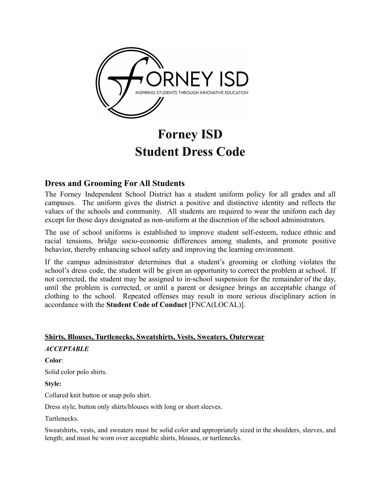

# **Forney ISD Student Dress Code**

# **Dress and Grooming For All Students**

The Forney Independent School District has a student uniform policy for all grades and all campuses. The uniform gives the district a positive and distinctive identity and reflects the values of the schools and community. All students are required to wear the uniform each day except for those days designated as non-uniform at the discretion of the school administrators.

The use of school uniforms is established to improve student self-esteem, reduce ethnic and racial tensions, bridge socio-economic differences among students, and promote positive behavior, thereby enhancing school safety and improving the learning environment.

If the campus administrator determines that a student's grooming or clothing violates the school's dress code, the student will be given an opportunity to correct the problem at school. If not corrected, the student may be assigned to in-school suspension for the remainder of the day, until the problem is corrected, or until a parent or designee brings an acceptable change of clothing to the school. Repeated offenses may result in more serious disciplinary action in accordance with the **Student Code of Conduct** [FNCA(LOCAL)].

# **Shirts, Blouses, Turtlenecks, Sweatshirts, Vests, Sweaters, Outerwear**

# *ACCEPTABLE*

#### **Color**:

Solid color polo shirts.

#### **Style:**

Collared knit button or snap polo shirt.

Dress style, button only shirts/blouses with long or short sleeves.

Turtlenecks.

Sweatshirts, vests, and sweaters must be solid color and appropriately sized in the shoulders, sleeves, and length; and must be worn over acceptable shirts, blouses, or turtlenecks.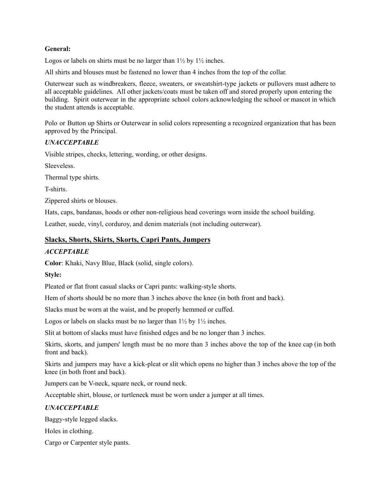#### **General:**

Logos or labels on shirts must be no larger than  $1\frac{1}{2}$  by  $1\frac{1}{2}$  inches.

All shirts and blouses must be fastened no lower than 4 inches from the top of the collar.

Outerwear such as windbreakers, fleece, sweaters, or sweatshirt-type jackets or pullovers must adhere to all acceptable guidelines. All other jackets/coats must be taken off and stored properly upon entering the building. Spirit outerwear in the appropriate school colors acknowledging the school or mascot in which the student attends is acceptable.

Polo or Button up Shirts or Outerwear in solid colors representing a recognized organization that has been approved by the Principal.

# *UNACCEPTABLE*

Visible stripes, checks, lettering, wording, or other designs.

Sleeveless.

Thermal type shirts.

T-shirts.

Zippered shirts or blouses.

Hats, caps, bandanas, hoods or other non-religious head coverings worn inside the school building.

Leather, suede, vinyl, corduroy, and denim materials (not including outerwear).

# **Slacks, Shorts, Skirts, Skorts, Capri Pants, Jumpers**

# *ACCEPTABLE*

**Color**: Khaki, Navy Blue, Black (solid, single colors).

#### **Style:**

Pleated or flat front casual slacks or Capri pants: walking-style shorts.

Hem of shorts should be no more than 3 inches above the knee (in both front and back).

Slacks must be worn at the waist, and be properly hemmed or cuffed.

Logos or labels on slacks must be no larger than  $1\frac{1}{2}$  by  $1\frac{1}{2}$  inches.

Slit at bottom of slacks must have finished edges and be no longer than 3 inches.

Skirts, skorts, and jumpers' length must be no more than 3 inches above the top of the knee cap (in both front and back).

Skirts and jumpers may have a kick-pleat or slit which opens no higher than 3 inches above the top of the knee (in both front and back).

Jumpers can be V-neck, square neck, or round neck.

Acceptable shirt, blouse, or turtleneck must be worn under a jumper at all times.

# *UNACCEPTABLE*

Baggy-style legged slacks.

Holes in clothing.

Cargo or Carpenter style pants.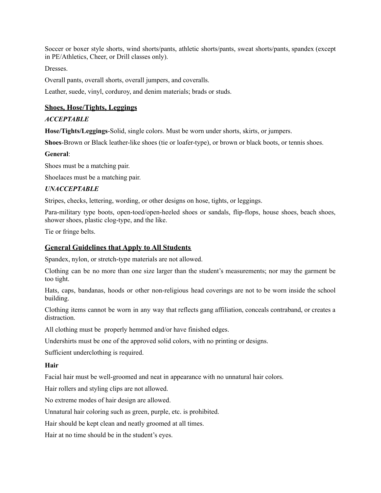Soccer or boxer style shorts, wind shorts/pants, athletic shorts/pants, sweat shorts/pants, spandex (except in PE/Athletics, Cheer, or Drill classes only).

Dresses.

Overall pants, overall shorts, overall jumpers, and coveralls.

Leather, suede, vinyl, corduroy, and denim materials; brads or studs.

# **Shoes, Hose/Tights, Leggings**

#### *ACCEPTABLE*

**Hose/Tights/Leggings**-Solid, single colors. Must be worn under shorts, skirts, or jumpers.

**Shoes**-Brown or Black leather-like shoes (tie or loafer-type), or brown or black boots, or tennis shoes.

#### **General**:

Shoes must be a matching pair.

Shoelaces must be a matching pair.

#### *UNACCEPTABLE*

Stripes, checks, lettering, wording, or other designs on hose, tights, or leggings.

Para-military type boots, open-toed/open-heeled shoes or sandals, flip-flops, house shoes, beach shoes, shower shoes, plastic clog-type, and the like.

Tie or fringe belts.

#### **General Guidelines that Apply to All Students**

Spandex, nylon, or stretch-type materials are not allowed.

Clothing can be no more than one size larger than the student's measurements; nor may the garment be too tight.

Hats, caps, bandanas, hoods or other non-religious head coverings are not to be worn inside the school building.

Clothing items cannot be worn in any way that reflects gang affiliation, conceals contraband, or creates a distraction.

All clothing must be properly hemmed and/or have finished edges.

Undershirts must be one of the approved solid colors, with no printing or designs.

Sufficient underclothing is required.

#### **Hair**

Facial hair must be well-groomed and neat in appearance with no unnatural hair colors.

Hair rollers and styling clips are not allowed.

No extreme modes of hair design are allowed.

Unnatural hair coloring such as green, purple, etc. is prohibited.

Hair should be kept clean and neatly groomed at all times.

Hair at no time should be in the student's eyes.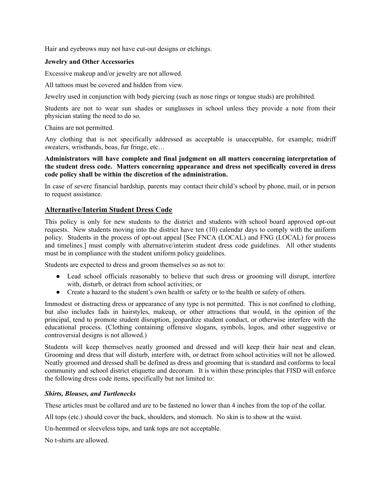Hair and eyebrows may not have cut-out designs or etchings.

#### **Jewelry and Other Accessories**

Excessive makeup and/or jewelry are not allowed.

All tattoos must be covered and hidden from view.

Jewelry used in conjunction with body piercing (such as nose rings or tongue studs) are prohibited.

Students are not to wear sun shades or sunglasses in school unless they provide a note from their physician stating the need to do so.

Chains are not permitted.

Any clothing that is not specifically addressed as acceptable is unacceptable, for example; midriff sweaters, wristbands, boas, fur fringe, etc…

**Administrators will have complete and final judgment on all matters concerning interpretation of the student dress code. Matters concerning appearance and dress not specifically covered in dress code policy shall be within the discretion of the administration.**

In case of severe financial hardship, parents may contact their child's school by phone, mail, or in person to request assistance.

#### **Alternative/Interim Student Dress Code**

This policy is only for new students to the district and students with school board approved opt-out requests. New students moving into the district have ten (10) calendar days to comply with the uniform policy. Students in the process of opt-out appeal [See FNCA (LOCAL) and FNG (LOCAL) for process and timelines.] must comply with alternative/interim student dress code guidelines. All other students must be in compliance with the student uniform policy guidelines.

Students are expected to dress and groom themselves so as not to:

- Lead school officials reasonably to believe that such dress or grooming will disrupt, interfere with, disturb, or detract from school activities; or
- Create a hazard to the student's own health or safety or to the health or safety of others.

Immodest or distracting dress or appearance of any type is not permitted. This is not confined to clothing, but also includes fads in hairstyles, makeup, or other attractions that would, in the opinion of the principal, tend to promote student disruption, jeopardize student conduct, or otherwise interfere with the educational process. (Clothing containing offensive slogans, symbols, logos, and other suggestive or controversial designs is not allowed.)

Students will keep themselves neatly groomed and dressed and will keep their hair neat and clean. Grooming and dress that will disturb, interfere with, or detract from school activities will not be allowed. Neatly groomed and dressed shall be defined as dress and grooming that is standard and conforms to local community and school district etiquette and decorum. It is within these principles that FISD will enforce the following dress code items, specifically but not limited to:

#### *Shirts, Blouses, and Turtlenecks*

These articles must be collared and are to be fastened no lower than 4 inches from the top of the collar.

All tops (etc.) should cover the back, shoulders, and stomach. No skin is to show at the waist.

Un-hemmed or sleeveless tops, and tank tops are not acceptable.

No t-shirts are allowed.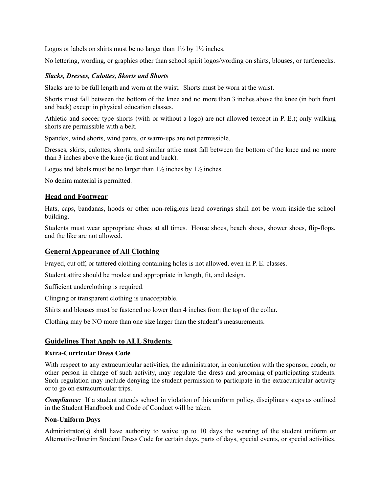Logos or labels on shirts must be no larger than  $1\frac{1}{2}$  by  $1\frac{1}{2}$  inches.

No lettering, wording, or graphics other than school spirit logos/wording on shirts, blouses, or turtlenecks.

#### *Slacks, Dresses, Culottes, Skorts and Shorts*

Slacks are to be full length and worn at the waist. Shorts must be worn at the waist.

Shorts must fall between the bottom of the knee and no more than 3 inches above the knee (in both front and back) except in physical education classes.

Athletic and soccer type shorts (with or without a logo) are not allowed (except in P. E.); only walking shorts are permissible with a belt.

Spandex, wind shorts, wind pants, or warm-ups are not permissible.

Dresses, skirts, culottes, skorts, and similar attire must fall between the bottom of the knee and no more than 3 inches above the knee (in front and back).

Logos and labels must be no larger than  $1\frac{1}{2}$  inches by  $1\frac{1}{2}$  inches.

No denim material is permitted.

#### **Head and Footwear**

Hats, caps, bandanas, hoods or other non-religious head coverings shall not be worn inside the school building.

Students must wear appropriate shoes at all times. House shoes, beach shoes, shower shoes, flip-flops, and the like are not allowed.

# **General Appearance of All Clothing**

Frayed, cut off, or tattered clothing containing holes is not allowed, even in P. E. classes.

Student attire should be modest and appropriate in length, fit, and design.

Sufficient underclothing is required.

Clinging or transparent clothing is unacceptable.

Shirts and blouses must be fastened no lower than 4 inches from the top of the collar.

Clothing may be NO more than one size larger than the student's measurements.

# **Guidelines That Apply to ALL Students**

#### **Extra-Curricular Dress Code**

With respect to any extracurricular activities, the administrator, in conjunction with the sponsor, coach, or other person in charge of such activity, may regulate the dress and grooming of participating students. Such regulation may include denying the student permission to participate in the extracurricular activity or to go on extracurricular trips.

*Compliance:* If a student attends school in violation of this uniform policy, disciplinary steps as outlined in the Student Handbook and Code of Conduct will be taken.

#### **Non-Uniform Days**

Administrator(s) shall have authority to waive up to 10 days the wearing of the student uniform or Alternative/Interim Student Dress Code for certain days, parts of days, special events, or special activities.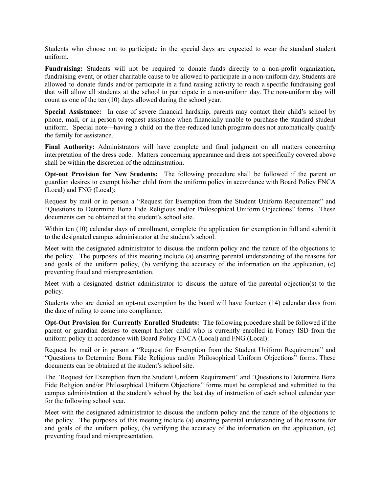Students who choose not to participate in the special days are expected to wear the standard student uniform.

**Fundraising:** Students will not be required to donate funds directly to a non-profit organization, fundraising event, or other charitable cause to be allowed to participate in a non-uniform day. Students are allowed to donate funds and/or participate in a fund raising activity to reach a specific fundraising goal that will allow all students at the school to participate in a non-uniform day. The non-uniform day will count as one of the ten (10) days allowed during the school year.

**Special Assistance:** In case of severe financial hardship, parents may contact their child's school by phone, mail, or in person to request assistance when financially unable to purchase the standard student uniform. Special note—having a child on the free-reduced lunch program does not automatically qualify the family for assistance.

**Final Authority:** Administrators will have complete and final judgment on all matters concerning interpretation of the dress code. Matters concerning appearance and dress not specifically covered above shall be within the discretion of the administration.

**Opt-out Provision for New Students:** The following procedure shall be followed if the parent or guardian desires to exempt his/her child from the uniform policy in accordance with Board Policy FNCA (Local) and FNG (Local):

Request by mail or in person a "Request for Exemption from the Student Uniform Requirement" and "Questions to Determine Bona Fide Religious and/or Philosophical Uniform Objections" forms. These documents can be obtained at the student's school site.

Within ten (10) calendar days of enrollment, complete the application for exemption in full and submit it to the designated campus administrator at the student's school.

Meet with the designated administrator to discuss the uniform policy and the nature of the objections to the policy. The purposes of this meeting include (a) ensuring parental understanding of the reasons for and goals of the uniform policy, (b) verifying the accuracy of the information on the application, (c) preventing fraud and misrepresentation.

Meet with a designated district administrator to discuss the nature of the parental objection(s) to the policy.

Students who are denied an opt-out exemption by the board will have fourteen (14) calendar days from the date of ruling to come into compliance.

**Opt-Out Provision for Currently Enrolled Students:** The following procedure shall be followed if the parent or guardian desires to exempt his/her child who is currently enrolled in Forney ISD from the uniform policy in accordance with Board Policy FNCA (Local) and FNG (Local):

Request by mail or in person a "Request for Exemption from the Student Uniform Requirement" and "Questions to Determine Bona Fide Religious and/or Philosophical Uniform Objections" forms. These documents can be obtained at the student's school site.

The "Request for Exemption from the Student Uniform Requirement" and "Questions to Determine Bona Fide Religion and/or Philosophical Uniform Objections" forms must be completed and submitted to the campus administration at the student's school by the last day of instruction of each school calendar year for the following school year.

Meet with the designated administrator to discuss the uniform policy and the nature of the objections to the policy. The purposes of this meeting include (a) ensuring parental understanding of the reasons for and goals of the uniform policy, (b) verifying the accuracy of the information on the application, (c) preventing fraud and misrepresentation.